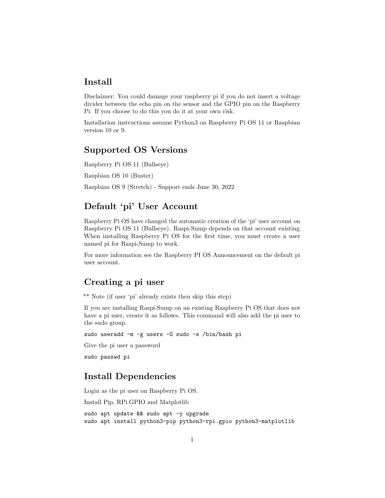#### **Install**

Disclaimer: You could damage your raspberry pi if you do not insert a voltage divider between the echo pin on the sensor and the GPIO pin on the Raspberry Pi. If you choose to do this you do it at your own risk.

Installation instructions assume Python3 on Raspberry Pi OS 11 or Raspbian version 10 or 9.

## **Supported OS Versions**

Raspberry Pi OS 11 (Bullseye)

Raspbian OS 10 (Buster)

Raspbian OS 9 (Stretch) - Support ends June 30, 2022

## **Default 'pi' User Account**

Raspberry Pi OS have changed the automatic creation of the 'pi' user account on Raspberry Pi OS 11 (Bullseye). Raspi-Sump depends on that account existing. When installing Raspberry Pi OS for the first time, you must create a user named pi for Raspi-Sump to work.

For more information see the [Raspberry PI OS Announcement](https://www.raspberrypi.com/news/raspberry-pi-bullseye-update-april-2022/) on the default pi user account.

#### **Creating a pi user**

\*\* Note (if user 'pi' already exists then skip this step)

If you are installing Raspi-Sump on an existing Raspberry Pi OS that does not have a pi user, create it as follows. This command will also add the pi user to the sudo group.

sudo useradd -m -g users -G sudo -s /bin/bash pi

Give the pi user a password

sudo passwd pi

#### **Install Dependencies**

Login as the pi user on Raspberry Pi OS. Install Pip, RPi.GPIO and Matplotlib sudo apt update && sudo apt -y upgrade sudo apt install python3-pip python3-rpi.gpio python3-matplotlib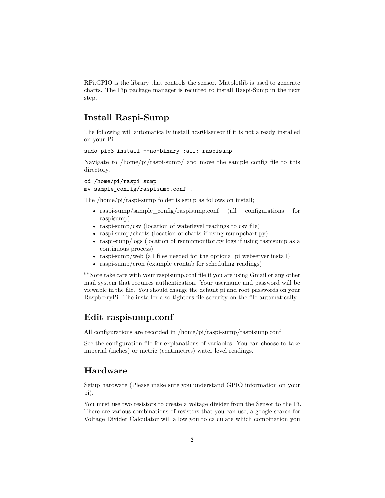RPi.GPIO is the library that controls the sensor. Matplotlib is used to generate charts. The Pip package manager is required to install Raspi-Sump in the next step.

### **Install Raspi-Sump**

The following will automatically install hcsr04sensor if it is not already installed on your Pi.

sudo pip3 install --no-binary :all: raspisump

Navigate to /home/pi/raspi-sump/ and move the sample config file to this directory.

cd /home/pi/raspi-sump mv sample\_config/raspisump.conf .

The /home/pi/raspi-sump folder is setup as follows on install;

- raspi-sump/sample\_config/raspisump.conf (all configurations for raspisump).
- raspi-sump/csv (location of waterlevel readings to csv file)
- raspi-sump/charts (location of charts if using rsumpchart.py)
- raspi-sump/logs (location of rsumpmonitor.py logs if using raspisump as a continuous process)
- raspi-sump/web (all files needed for the optional pi webserver install)
- raspi-sump/cron (example crontab for scheduling readings)

\*\*Note take care with your raspisump.conf file if you are using Gmail or any other mail system that requires authentication. Your username and password will be viewable in the file. You should change the default pi and root passwords on your RaspberryPi. The installer also tightens file security on the file automatically.

#### **Edit raspisump.conf**

All configurations are recorded in /home/pi/raspi-sump/raspisump.conf

See the configuration file for explanations of variables. You can choose to take imperial (inches) or metric (centimetres) water level readings.

#### **Hardware**

Setup hardware (Please make sure you understand GPIO information on your pi).

You must use two resistors to create a voltage divider from the Sensor to the Pi. There are various combinations of resistors that you can use, a google search for Voltage Divider Calculator will allow you to calculate which combination you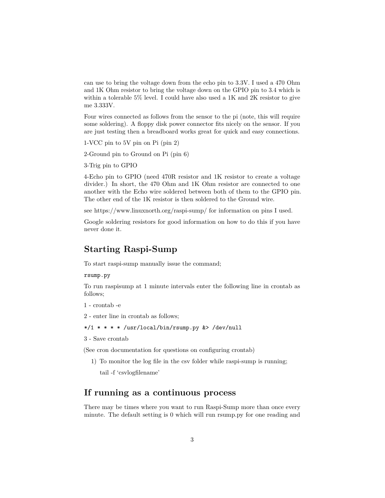can use to bring the voltage down from the echo pin to 3.3V. I used a 470 Ohm and 1K Ohm resistor to bring the voltage down on the GPIO pin to 3.4 which is within a tolerable 5% level. I could have also used a 1K and 2K resistor to give me 3.333V.

Four wires connected as follows from the sensor to the pi (note, this will require some soldering). A floppy disk power connector fits nicely on the sensor. If you are just testing then a breadboard works great for quick and easy connections.

1-VCC pin to 5V pin on Pi (pin 2)

2-Ground pin to Ground on Pi (pin 6)

3-Trig pin to GPIO

4-Echo pin to GPIO (need 470R resistor and 1K resistor to create a voltage divider.) In short, the 470 Ohm and 1K Ohm resistor are connected to one another with the Echo wire soldered between both of them to the GPIO pin. The other end of the 1K resistor is then soldered to the Ground wire.

see https://www.linuxnorth.org/raspi-sump/ for information on pins I used.

Google soldering resistors for good information on how to do this if you have never done it.

### **Starting Raspi-Sump**

To start raspi-sump manually issue the command;

rsump.py

To run raspisump at 1 minute intervals enter the following line in crontab as follows;

```
1 - crontab -e
```
2 - enter line in crontab as follows;

```
*/1 * * * * /usr/local/bin/rsump.py &> /dev/null
```
3 - Save crontab

(See cron documentation for questions on configuring crontab)

1) To monitor the log file in the csv folder while raspi-sump is running;

tail -f 'csvlogfilename'

#### **If running as a continuous process**

There may be times where you want to run Raspi-Sump more than once every minute. The default setting is 0 which will run rsump.py for one reading and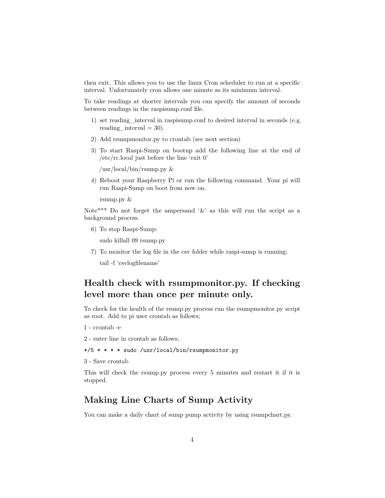then exit. This allows you to use the linux Cron scheduler to run at a specific interval. Unfortunately cron allows one minute as its minimum interval.

To take readings at shorter intervals you can specify the amount of seconds between readings in the raspisump.conf file.

- 1) set reading interval in raspisump.conf to desired interval in seconds (e.g. reading interval  $= 30$ ).
- 2) Add rsumpmonitor.py to crontab (see next section)
- 3) To start Raspi-Sump on bootup add the following line at the end of /etc/rc.local just before the line 'exit 0'

/usr/local/bin/rsump.py &

4) Reboot your Raspberry Pi or run the following command. Your pi will run Raspi-Sump on boot from now on.

rsump.py &

Note<sup>\*\*\*</sup> Do not forget the ampersand  $\&$  as this will run the script as a background process.

6) To stop Raspi-Sump:

sudo killall 09 rsump.py

7) To monitor the log file in the csv folder while raspi-sump is running;

tail -f 'csvlogfilename'

## **Health check with rsumpmonitor.py. If checking level more than once per minute only.**

To check for the health of the rsump.py process run the rsumpmonitor.py script as root. Add to pi user crontab as follows;

1 - crontab -e

2 - enter line in crontab as follows;

\*/5 \* \* \* \* sudo /usr/local/bin/rsumpmonitor.py

3 - Save crontab

This will check the rsump.py process every 5 minutes and restart it if it is stopped.

#### **Making Line Charts of Sump Activity**

You can make a daily chart of sump pump activity by using rsumpchart.py.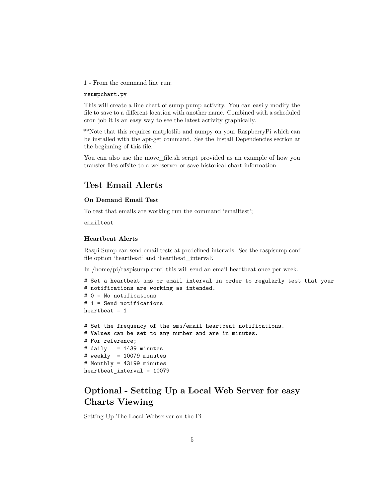1 - From the command line run;

#### rsumpchart.py

This will create a line chart of sump pump activity. You can easily modify the file to save to a different location with another name. Combined with a scheduled cron job it is an easy way to see the latest activity graphically.

\*\*Note that this requires matplotlib and numpy on your RaspberryPi which can be installed with the apt-get command. See the Install Dependencies section at the beginning of this file.

You can also use the move\_file.sh script provided as an example of how you transfer files offsite to a webserver or save historical chart information.

#### **Test Email Alerts**

#### **On Demand Email Test**

To test that emails are working run the command 'emailtest';

emailtest

#### **Heartbeat Alerts**

Raspi-Sump can send email tests at predefined intervals. See the raspisump.conf file option 'heartbeat' and 'heartbeat\_interval'.

In /home/pi/raspisump.conf, this will send an email heartbeat once per week.

```
# Set a heartbeat sms or email interval in order to regularly test that your
# notifications are working as intended.
# 0 = No notifications
# 1 = Send notifications
heartbeat = 1
```

```
# Set the frequency of the sms/email heartbeat notifications.
# Values can be set to any number and are in minutes.
# For reference;
# daily = 1439 minutes
# weekly = 10079 minutes
# Monthly = 43199 minutes
heartbeat_interval = 10079
```
## **Optional - Setting Up a Local Web Server for easy Charts Viewing**

Setting Up The Local Webserver on the Pi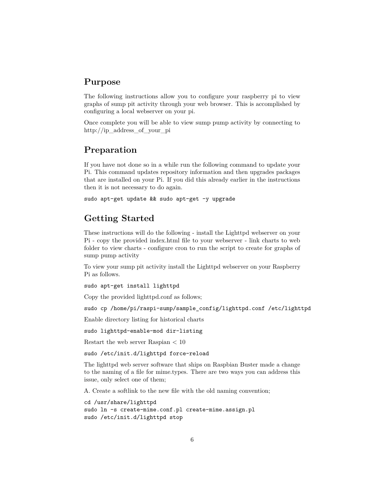#### **Purpose**

The following instructions allow you to configure your raspberry pi to view graphs of sump pit activity through your web browser. This is accomplished by configuring a local webserver on your pi.

Once complete you will be able to view sump pump activity by connecting to http://ip\_address\_of\_your\_pi

### **Preparation**

If you have not done so in a while run the following command to update your Pi. This command updates repository information and then upgrades packages that are installed on your Pi. If you did this already earlier in the instructions then it is not necessary to do again.

sudo apt-get update && sudo apt-get -y upgrade

# **Getting Started**

These instructions will do the following - install the Lighttpd webserver on your Pi - copy the provided index.html file to your webserver - link charts to web folder to view charts - configure cron to run the script to create for graphs of sump pump activity

To view your sump pit activity install the Lighttpd webserver on your Raspberry Pi as follows.

sudo apt-get install lighttpd

Copy the provided lighttpd.conf as follows;

```
sudo cp /home/pi/raspi-sump/sample_config/lighttpd.conf /etc/lighttpd
```
Enable directory listing for historical charts

sudo lighttpd-enable-mod dir-listing

Restart the web server Raspian < 10

sudo /etc/init.d/lighttpd force-reload

The lighttpd web server software that ships on Raspbian Buster made a change to the naming of a file for mime.types. There are two ways you can address this issue, only select one of them;

A. Create a softlink to the new file with the old naming convention;

```
cd /usr/share/lighttpd
sudo ln -s create-mime.conf.pl create-mime.assign.pl
sudo /etc/init.d/lighttpd stop
```